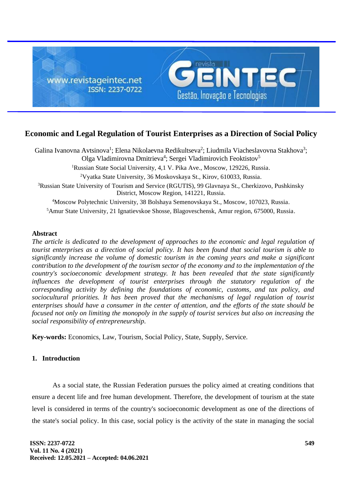

# **Economic and Legal Regulation of Tourist Enterprises as a Direction of Social Policy**

Galina Ivanovna Avtsinova<sup>1</sup>; Elena Nikolaevna Redikultseva<sup>2</sup>; Liudmila Viacheslavovna Stakhova<sup>3</sup>; Olga Vladimirovna Dmitrieva<sup>4</sup>; Sergei Vladimirovich Feoktistov<sup>5</sup> <sup>1</sup>Russian State Social University, 4,1 V. Pika Ave., Moscow, 129226, Russia. <sup>2</sup>Vyatka State University, 36 Moskovskaya St., Kirov, 610033, Russia. <sup>3</sup>Russian State University of Tourism and Service (RGUTIS), 99 Glavnaya St., Cherkizovo, Pushkinsky District, Moscow Region, 141221, Russia. <sup>4</sup>Moscow Polytechnic University, 38 Bolshaya Semenovskaya St., Moscow, 107023, Russia. <sup>5</sup>Amur State University, 21 Ignatievskoe Shosse, Blagoveschensk, Amur region, 675000, Russia.

#### **Abstract**

*The article is dedicated to the development of approaches to the economic and legal regulation of tourist enterprises as a direction of social policy. It has been found that social tourism is able to significantly increase the volume of domestic tourism in the coming years and make a significant contribution to the development of the tourism sector of the economy and to the implementation of the country's socioeconomic development strategy. It has been revealed that the state significantly influences the development of tourist enterprises through the statutory regulation of the corresponding activity by defining the foundations of economic, customs, and tax policy, and sociocultural priorities. It has been proved that the mechanisms of legal regulation of tourist enterprises should have a consumer in the center of attention, and the efforts of the state should be focused not only on limiting the monopoly in the supply of tourist services but also on increasing the social responsibility of entrepreneurship.*

**Key-words:** Economics, Law, Tourism, Social Policy, State, Supply, Service.

## **1. Introduction**

As a social state, the Russian Federation pursues the policy aimed at creating conditions that ensure a decent life and free human development. Therefore, the development of tourism at the state level is considered in terms of the country's socioeconomic development as one of the directions of the state's social policy. In this case, social policy is the activity of the state in managing the social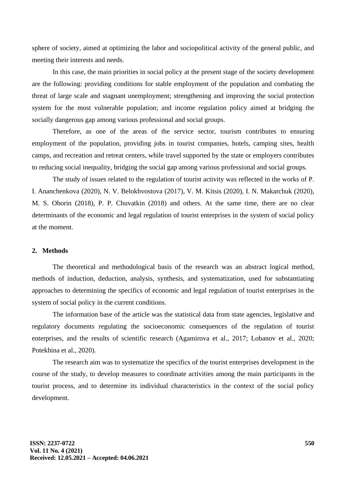sphere of society, aimed at optimizing the labor and sociopolitical activity of the general public, and meeting their interests and needs.

In this case, the main priorities in social policy at the present stage of the society development are the following: providing conditions for stable employment of the population and combating the threat of large scale and stagnant unemployment; strengthening and improving the social protection system for the most vulnerable population; and income regulation policy aimed at bridging the socially dangerous gap among various professional and social groups.

Therefore, as one of the areas of the service sector, tourism contributes to ensuring employment of the population, providing jobs in tourist companies, hotels, camping sites, health camps, and recreation and retreat centers, while travel supported by the state or employers contributes to reducing social inequality, bridging the social gap among various professional and social groups.

The study of issues related to the regulation of tourist activity was reflected in the works of P. I. Ananchenkova (2020), N. V. Belokhvostova (2017), V. M. Kitsis (2020), I. N. Makarchuk (2020), M. S. Oborin (2018), P. P. Chuvatkin (2018) and others. At the same time, there are no clear determinants of the economic and legal regulation of tourist enterprises in the system of social policy at the moment.

#### **2. Methods**

The theoretical and methodological basis of the research was an abstract logical method, methods of induction, deduction, analysis, synthesis, and systematization, used for substantiating approaches to determining the specifics of economic and legal regulation of tourist enterprises in the system of social policy in the current conditions.

The information base of the article was the statistical data from state agencies, legislative and regulatory documents regulating the socioeconomic consequences of the regulation of tourist enterprises, and the results of scientific research (Agamirova et al., 2017; Lobanov et al., 2020; Potekhina et al., 2020).

The research aim was to systematize the specifics of the tourist enterprises development in the course of the study, to develop measures to coordinate activities among the main participants in the tourist process, and to determine its individual characteristics in the context of the social policy development.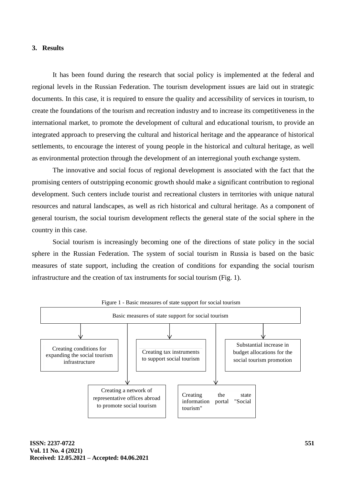#### **3. Results**

It has been found during the research that social policy is implemented at the federal and regional levels in the Russian Federation. The tourism development issues are laid out in strategic documents. In this case, it is required to ensure the quality and accessibility of services in tourism, to create the foundations of the tourism and recreation industry and to increase its competitiveness in the international market, to promote the development of cultural and educational tourism, to provide an integrated approach to preserving the cultural and historical heritage and the appearance of historical settlements, to encourage the interest of young people in the historical and cultural heritage, as well as environmental protection through the development of an interregional youth exchange system.

The innovative and social focus of regional development is associated with the fact that the promising centers of outstripping economic growth should make a significant contribution to regional development. Such centers include tourist and recreational clusters in territories with unique natural resources and natural landscapes, as well as rich historical and cultural heritage. As a component of general tourism, the social tourism development reflects the general state of the social sphere in the country in this case.

Social tourism is increasingly becoming one of the directions of state policy in the social sphere in the Russian Federation. The system of social tourism in Russia is based on the basic measures of state support, including the creation of conditions for expanding the social tourism infrastructure and the creation of tax instruments for social tourism (Fig. 1).

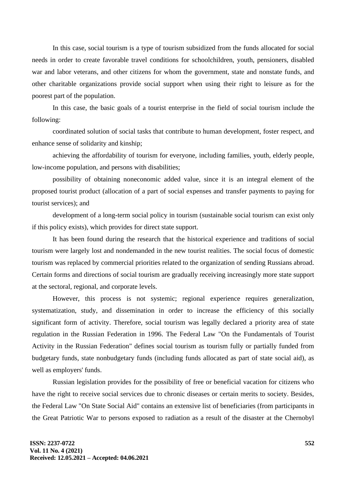In this case, social tourism is a type of tourism subsidized from the funds allocated for social needs in order to create favorable travel conditions for schoolchildren, youth, pensioners, disabled war and labor veterans, and other citizens for whom the government, state and nonstate funds, and other charitable organizations provide social support when using their right to leisure as for the poorest part of the population.

In this case, the basic goals of a tourist enterprise in the field of social tourism include the following:

coordinated solution of social tasks that contribute to human development, foster respect, and enhance sense of solidarity and kinship;

achieving the affordability of tourism for everyone, including families, youth, elderly people, low-income population, and persons with disabilities;

possibility of obtaining noneconomic added value, since it is an integral element of the proposed tourist product (allocation of a part of social expenses and transfer payments to paying for tourist services); and

development of a long-term social policy in tourism (sustainable social tourism can exist only if this policy exists), which provides for direct state support.

It has been found during the research that the historical experience and traditions of social tourism were largely lost and nondemanded in the new tourist realities. The social focus of domestic tourism was replaced by commercial priorities related to the organization of sending Russians abroad. Certain forms and directions of social tourism are gradually receiving increasingly more state support at the sectoral, regional, and corporate levels.

However, this process is not systemic; regional experience requires generalization, systematization, study, and dissemination in order to increase the efficiency of this socially significant form of activity. Therefore, social tourism was legally declared a priority area of state regulation in the Russian Federation in 1996. The Federal Law "On the Fundamentals of Tourist Activity in the Russian Federation" defines social tourism as tourism fully or partially funded from budgetary funds, state nonbudgetary funds (including funds allocated as part of state social aid), as well as employers' funds.

Russian legislation provides for the possibility of free or beneficial vacation for citizens who have the right to receive social services due to chronic diseases or certain merits to society. Besides, the Federal Law "On State Social Aid" contains an extensive list of beneficiaries (from participants in the Great Patriotic War to persons exposed to radiation as a result of the disaster at the Chernobyl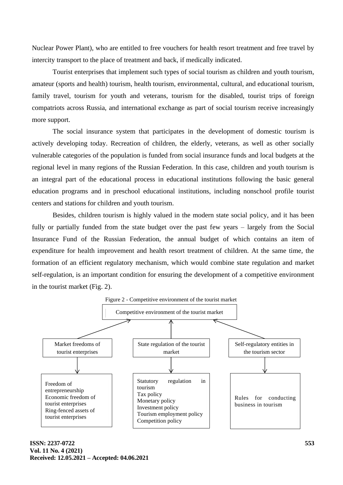Nuclear Power Plant), who are entitled to free vouchers for health resort treatment and free travel by intercity transport to the place of treatment and back, if medically indicated.

Tourist enterprises that implement such types of social tourism as children and youth tourism, amateur (sports and health) tourism, health tourism, environmental, cultural, and educational tourism, family travel, tourism for youth and veterans, tourism for the disabled, tourist trips of foreign compatriots across Russia, and international exchange as part of social tourism receive increasingly more support.

The social insurance system that participates in the development of domestic tourism is actively developing today. Recreation of children, the elderly, veterans, as well as other socially vulnerable categories of the population is funded from social insurance funds and local budgets at the regional level in many regions of the Russian Federation. In this case, children and youth tourism is an integral part of the educational process in educational institutions following the basic general education programs and in preschool educational institutions, including nonschool profile tourist centers and stations for children and youth tourism.

Besides, children tourism is highly valued in the modern state social policy, and it has been fully or partially funded from the state budget over the past few years – largely from the Social Insurance Fund of the Russian Federation, the annual budget of which contains an item of expenditure for health improvement and health resort treatment of children. At the same time, the formation of an efficient regulatory mechanism, which would combine state regulation and market self-regulation, is an important condition for ensuring the development of a competitive environment in the tourist market (Fig. 2).



**ISSN: 2237-0722 Vol. 11 No. 4 (2021) Received: 12.05.2021 – Accepted: 04.06.2021**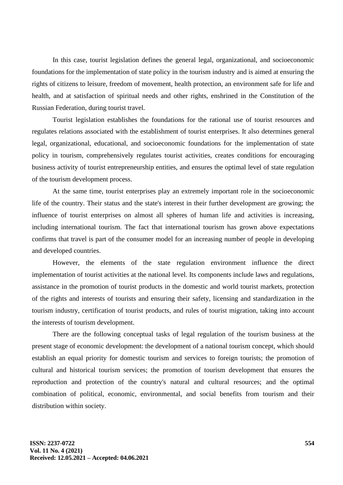In this case, tourist legislation defines the general legal, organizational, and socioeconomic foundations for the implementation of state policy in the tourism industry and is aimed at ensuring the rights of citizens to leisure, freedom of movement, health protection, an environment safe for life and health, and at satisfaction of spiritual needs and other rights, enshrined in the Constitution of the Russian Federation, during tourist travel.

Tourist legislation establishes the foundations for the rational use of tourist resources and regulates relations associated with the establishment of tourist enterprises. It also determines general legal, organizational, educational, and socioeconomic foundations for the implementation of state policy in tourism, comprehensively regulates tourist activities, creates conditions for encouraging business activity of tourist entrepreneurship entities, and ensures the optimal level of state regulation of the tourism development process.

At the same time, tourist enterprises play an extremely important role in the socioeconomic life of the country. Their status and the state's interest in their further development are growing; the influence of tourist enterprises on almost all spheres of human life and activities is increasing, including international tourism. The fact that international tourism has grown above expectations confirms that travel is part of the consumer model for an increasing number of people in developing and developed countries.

However, the elements of the state regulation environment influence the direct implementation of tourist activities at the national level. Its components include laws and regulations, assistance in the promotion of tourist products in the domestic and world tourist markets, protection of the rights and interests of tourists and ensuring their safety, licensing and standardization in the tourism industry, certification of tourist products, and rules of tourist migration, taking into account the interests of tourism development.

There are the following conceptual tasks of legal regulation of the tourism business at the present stage of economic development: the development of a national tourism concept, which should establish an equal priority for domestic tourism and services to foreign tourists; the promotion of cultural and historical tourism services; the promotion of tourism development that ensures the reproduction and protection of the country's natural and cultural resources; and the optimal combination of political, economic, environmental, and social benefits from tourism and their distribution within society.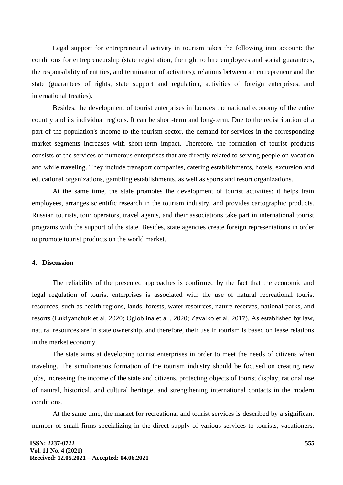Legal support for entrepreneurial activity in tourism takes the following into account: the conditions for entrepreneurship (state registration, the right to hire employees and social guarantees, the responsibility of entities, and termination of activities); relations between an entrepreneur and the state (guarantees of rights, state support and regulation, activities of foreign enterprises, and international treaties).

Besides, the development of tourist enterprises influences the national economy of the entire country and its individual regions. It can be short-term and long-term. Due to the redistribution of a part of the population's income to the tourism sector, the demand for services in the corresponding market segments increases with short-term impact. Therefore, the formation of tourist products consists of the services of numerous enterprises that are directly related to serving people on vacation and while traveling. They include transport companies, catering establishments, hotels, excursion and educational organizations, gambling establishments, as well as sports and resort organizations.

At the same time, the state promotes the development of tourist activities: it helps train employees, arranges scientific research in the tourism industry, and provides cartographic products. Russian tourists, tour operators, travel agents, and their associations take part in international tourist programs with the support of the state. Besides, state agencies create foreign representations in order to promote tourist products on the world market.

### **4. Discussion**

The reliability of the presented approaches is confirmed by the fact that the economic and legal regulation of tourist enterprises is associated with the use of natural recreational tourist resources, such as health regions, lands, forests, water resources, nature reserves, national parks, and resorts (Lukiyanchuk et al, 2020; Ogloblina et al., 2020; Zavalko et al, 2017). As established by law, natural resources are in state ownership, and therefore, their use in tourism is based on lease relations in the market economy.

The state aims at developing tourist enterprises in order to meet the needs of citizens when traveling. The simultaneous formation of the tourism industry should be focused on creating new jobs, increasing the income of the state and citizens, protecting objects of tourist display, rational use of natural, historical, and cultural heritage, and strengthening international contacts in the modern conditions.

At the same time, the market for recreational and tourist services is described by a significant number of small firms specializing in the direct supply of various services to tourists, vacationers,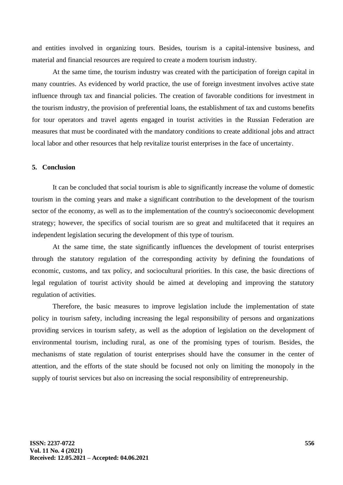and entities involved in organizing tours. Besides, tourism is a capital-intensive business, and material and financial resources are required to create a modern tourism industry.

At the same time, the tourism industry was created with the participation of foreign capital in many countries. As evidenced by world practice, the use of foreign investment involves active state influence through tax and financial policies. The creation of favorable conditions for investment in the tourism industry, the provision of preferential loans, the establishment of tax and customs benefits for tour operators and travel agents engaged in tourist activities in the Russian Federation are measures that must be coordinated with the mandatory conditions to create additional jobs and attract local labor and other resources that help revitalize tourist enterprises in the face of uncertainty.

# **5. Conclusion**

It can be concluded that social tourism is able to significantly increase the volume of domestic tourism in the coming years and make a significant contribution to the development of the tourism sector of the economy, as well as to the implementation of the country's socioeconomic development strategy; however, the specifics of social tourism are so great and multifaceted that it requires an independent legislation securing the development of this type of tourism.

At the same time, the state significantly influences the development of tourist enterprises through the statutory regulation of the corresponding activity by defining the foundations of economic, customs, and tax policy, and sociocultural priorities. In this case, the basic directions of legal regulation of tourist activity should be aimed at developing and improving the statutory regulation of activities.

Therefore, the basic measures to improve legislation include the implementation of state policy in tourism safety, including increasing the legal responsibility of persons and organizations providing services in tourism safety, as well as the adoption of legislation on the development of environmental tourism, including rural, as one of the promising types of tourism. Besides, the mechanisms of state regulation of tourist enterprises should have the consumer in the center of attention, and the efforts of the state should be focused not only on limiting the monopoly in the supply of tourist services but also on increasing the social responsibility of entrepreneurship.